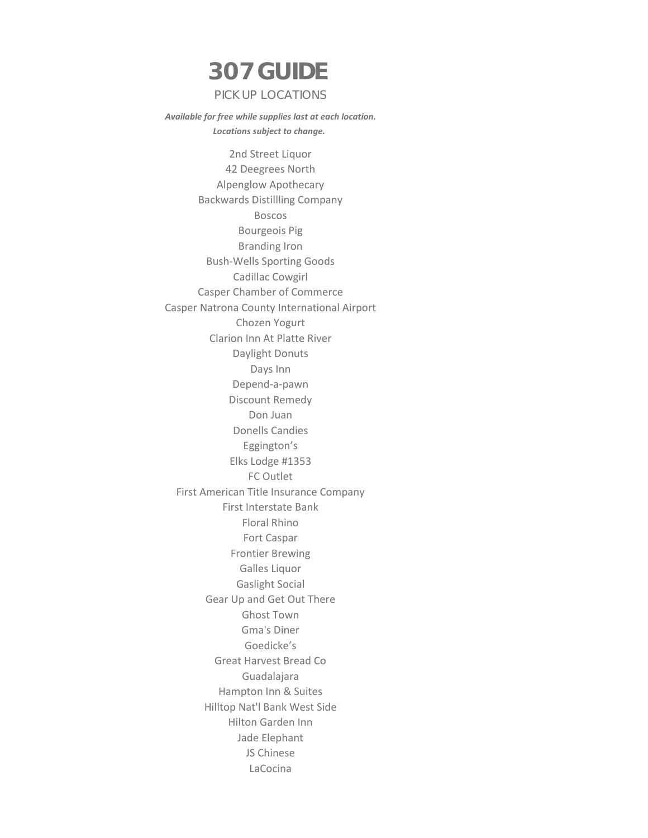## **307 GUIDE**  PICK UP LOCATIONS

 *Available for free while supplies last at each location. Locations subject to change.*

2nd Street Liquor 42 Deegrees North Alpenglow Apothecary Backwards Distillling Company Boscos Bourgeois Pig Branding Iron Bush-Wells Sporting Goods Cadillac Cowgirl Casper Chamber of Commerce Casper Natrona County International Airport Chozen Yogurt Clarion Inn At Platte River Daylight Donuts Days Inn Depend-a-pawn Discount Remedy Don Juan Donells Candies Eggington's Elks Lodge #1353 FC Outlet First American Title Insurance Company First Interstate Bank Floral Rhino Fort Caspar Frontier Brewing Galles Liquor Gaslight Social Gear Up and Get Out There Ghost Town Gma's Diner Goedicke's Great Harvest Bread Co Guadalajara Hampton Inn & Suites Hilltop Nat'l Bank West Side Hilton Garden Inn Jade Elephant JS Chinese LaCocina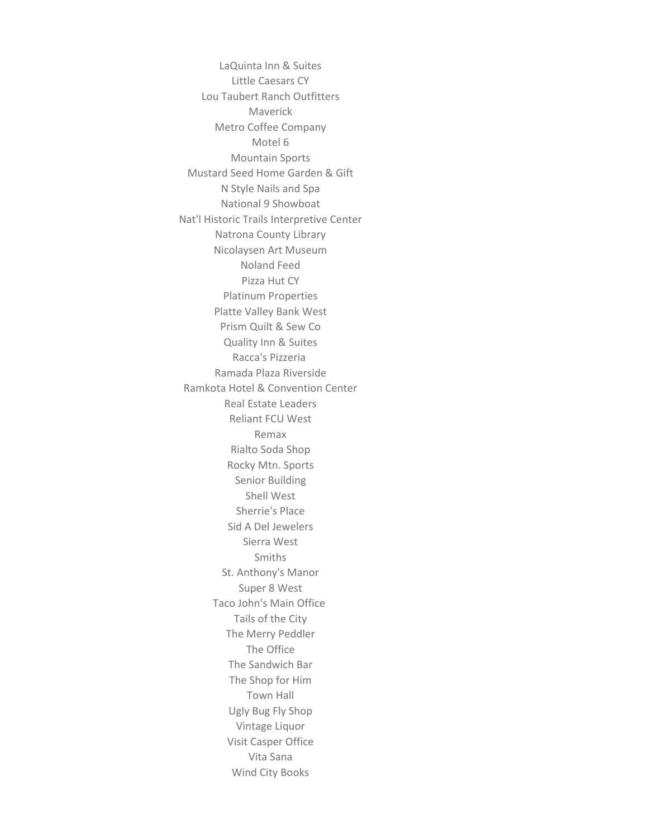LaQuinta Inn & Suites Little Caesars CY Lou Taubert Ranch Outfitters Maverick Metro Coffee Company Motel 6 Mountain Sports Mustard Seed Home Garden & Gift N Style Nails and Spa National 9 Showboat Nat'l Historic Trails Interpretive Center Natrona County Library Nicolaysen Art Museum Noland Feed Pizza Hut CY Platinum Properties Platte Valley Bank West Prism Quilt & Sew Co Quality Inn & Suites Racca's Pizzeria Ramada Plaza Riverside Ramkota Hotel & Convention Center Real Estate Leaders Reliant FCU West Remax Rialto Soda Shop Rocky Mtn. Sports Senior Building Shell West Sherrie's Place Sid A Del Jewelers Sierra West Smiths St. Anthony's Manor Super 8 West Taco John's Main Office Tails of the City The Merry Peddler The Office The Sandwich Bar The Shop for Him Town Hall Ugly Bug Fly Shop Vintage Liquor Visit Casper Office Vita Sana Wind City Books